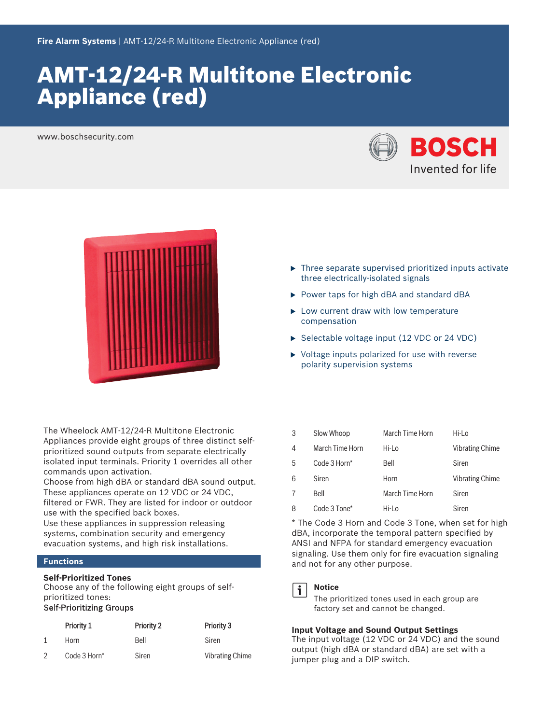# AMT‑12/24‑R Multitone Electronic Appliance (red)

www.boschsecurity.com





The Wheelock AMT-12/24-R Multitone Electronic Appliances provide eight groups of three distinct selfprioritized sound outputs from separate electrically isolated input terminals. Priority 1 overrides all other commands upon activation.

Choose from high dBA or standard dBA sound output. These appliances operate on 12 VDC or 24 VDC, filtered or FWR. They are listed for indoor or outdoor use with the specified back boxes.

Use these appliances in suppression releasing systems, combination security and emergency evacuation systems, and high risk installations.

# **Functions**

# **Self-Prioritized Tones**

Choose any of the following eight groups of selfprioritized tones:

# Self-Prioritizing Groups

| Priority 1   | <b>Priority 2</b> | Priority 3             |
|--------------|-------------------|------------------------|
| Horn         | Bell              | Siren                  |
| Code 3 Horn* | Siren             | <b>Vibrating Chime</b> |

- $\blacktriangleright$  Three separate supervised prioritized inputs activate three electrically‑isolated signals
- $\triangleright$  Power taps for high dBA and standard dBA
- $\blacktriangleright$  Low current draw with low temperature compensation
- $\triangleright$  Selectable voltage input (12 VDC or 24 VDC)
- $\triangleright$  Voltage inputs polarized for use with reverse polarity supervision systems

| 3 | Slow Whoop      | March Time Horn | Hi-Lo                  |
|---|-----------------|-----------------|------------------------|
| 4 | March Time Horn | Hi-Lo           | <b>Vibrating Chime</b> |
| 5 | Code 3 Horn*    | Bell            | Siren                  |
| 6 | Siren           | Horn            | <b>Vibrating Chime</b> |
|   | Bell            | March Time Horn | Siren                  |
| 8 | Code 3 Tone*    | Hi-Lo           | Siren                  |

\* The Code 3 Horn and Code 3 Tone, when set for high dBA, incorporate the temporal pattern specified by ANSI and NFPA for standard emergency evacuation signaling. Use them only for fire evacuation signaling and not for any other purpose.



# **Notice**

The prioritized tones used in each group are factory set and cannot be changed.

# **Input Voltage and Sound Output Settings**

The input voltage (12 VDC or 24 VDC) and the sound output (high dBA or standard dBA) are set with a jumper plug and a DIP switch.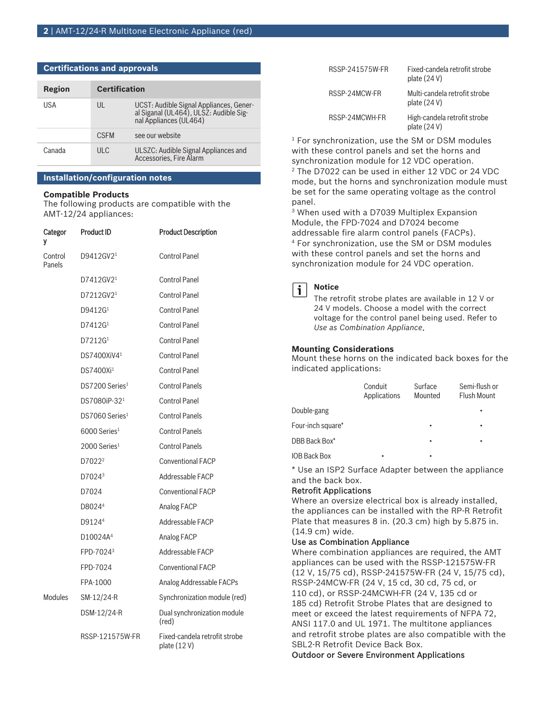| Region | <b>Certification</b> |                                                                                                        |
|--------|----------------------|--------------------------------------------------------------------------------------------------------|
| USA    | UL                   | UCST: Audible Signal Appliances, General Siganal (UL464), ULSZ: Audible Sig-<br>nal Appliances (UL464) |
|        | <b>CSEM</b>          | see our website                                                                                        |
| Canada | ULC.                 | ULSZC: Audible Signal Appliances and<br>Accessories, Fire Alarm                                        |

# **Certifications and approvals**

# **Installation/configuration notes**

# **Compatible Products**

The following products are compatible with the AMT‑12/24 appliances:

| Categor<br>٧      | <b>Product ID</b>            | <b>Product Description</b>                   |
|-------------------|------------------------------|----------------------------------------------|
| Control<br>Panels | D9412GV2 <sup>1</sup>        | <b>Control Panel</b>                         |
|                   | D7412GV2 <sup>1</sup>        | <b>Control Panel</b>                         |
|                   | D7212GV2 <sup>1</sup>        | <b>Control Panel</b>                         |
|                   | D9412G <sup>1</sup>          | <b>Control Panel</b>                         |
|                   | D7412G <sup>1</sup>          | <b>Control Panel</b>                         |
|                   | D7212G <sup>1</sup>          | <b>Control Panel</b>                         |
|                   | DS7400XiV41                  | <b>Control Panel</b>                         |
|                   | DS7400Xi <sup>1</sup>        | Control Panel                                |
|                   | DS7200 Series <sup>1</sup>   | <b>Control Panels</b>                        |
|                   | DS7080iP-32 <sup>1</sup>     | <b>Control Panel</b>                         |
|                   | $DS7060$ Series <sup>1</sup> | <b>Control Panels</b>                        |
|                   | $6000$ Series <sup>1</sup>   | <b>Control Panels</b>                        |
|                   | $2000$ Series <sup>1</sup>   | <b>Control Panels</b>                        |
|                   | D7022 <sup>2</sup>           | <b>Conventional FACP</b>                     |
|                   | D7024 <sup>3</sup>           | Addressable FACP                             |
|                   | D7024                        | <b>Conventional FACP</b>                     |
|                   | D80244                       | <b>Analog FACP</b>                           |
|                   | D9124 <sup>4</sup>           | Addressable FACP                             |
|                   | D10024A <sup>4</sup>         | Analog FACP                                  |
|                   | FPD-7024 <sup>3</sup>        | Addressable FACP                             |
|                   | FPD-7024                     | <b>Conventional FACP</b>                     |
|                   | FPA-1000                     | Analog Addressable FACPs                     |
| <b>Modules</b>    | SM-12/24-R                   | Synchronization module (red)                 |
|                   | DSM-12/24-R                  | Dual synchronization module<br>(red)         |
|                   | RSSP-121575W-FR              | Fixed-candela retrofit strobe<br>plate (12V) |

| RSSP-241575W-FR | Fixed-candela retrofit strobe<br>plate $(24V)$ |
|-----------------|------------------------------------------------|
| RSSP-24MCW-FR   | Multi-candela retrofit strobe<br>plate $(24V)$ |
| RSSP-24MCWH-FR  | High-candela retrofit strobe<br>plate $(24V)$  |

<sup>1</sup> For synchronization, use the SM or DSM modules with these control panels and set the horns and synchronization module for 12 VDC operation. 2 The D7022 can be used in either 12 VDC or 24 VDC mode, but the horns and synchronization module must be set for the same operating voltage as the control panel.

3 When used with a D7039 Multiplex Expansion Module, the FPD-7024 and D7024 become addressable fire alarm control panels (FACPs). 4 For synchronization, use the SM or DSM modules with these control panels and set the horns and synchronization module for 24 VDC operation.



#### **Notice**

The retrofit strobe plates are available in 12 V or 24 V models. Choose a model with the correct voltage for the control panel being used. Refer to *Use as Combination Appliance*.

#### **Mounting Considerations**

Mount these horns on the indicated back boxes for the indicated applications:

|                     | Conduit<br>Applications | Surface<br>Mounted | Semi-flush or<br>Flush Mount |
|---------------------|-------------------------|--------------------|------------------------------|
| Double-gang         |                         |                    |                              |
| Four-inch square*   |                         | ٠                  | ٠                            |
| DBB Back Box*       |                         | ٠                  | ٠                            |
| <b>IOB Back Box</b> | ٠                       | ٠                  |                              |

\* Use an ISP2 Surface Adapter between the appliance and the back box.

#### Retrofit Applications

Where an oversize electrical box is already installed, the appliances can be installed with the RP‑R Retrofit Plate that measures 8 in. (20.3 cm) high by 5.875 in. (14.9 cm) wide.

### Use as Combination Appliance

Where combination appliances are required, the AMT appliances can be used with the RSSP‑121575W‑FR (12 V, 15/75 cd), RSSP‑241575W‑FR (24 V, 15/75 cd), RSSP‑24MCW‑FR (24 V, 15 cd, 30 cd, 75 cd, or 110 cd), or RSSP‑24MCWH‑FR (24 V, 135 cd or 185 cd) Retrofit Strobe Plates that are designed to meet or exceed the latest requirements of NFPA 72, ANSI 117.0 and UL 1971. The multitone appliances and retrofit strobe plates are also compatible with the SBL2‑R Retrofit Device Back Box.

Outdoor or Severe Environment Applications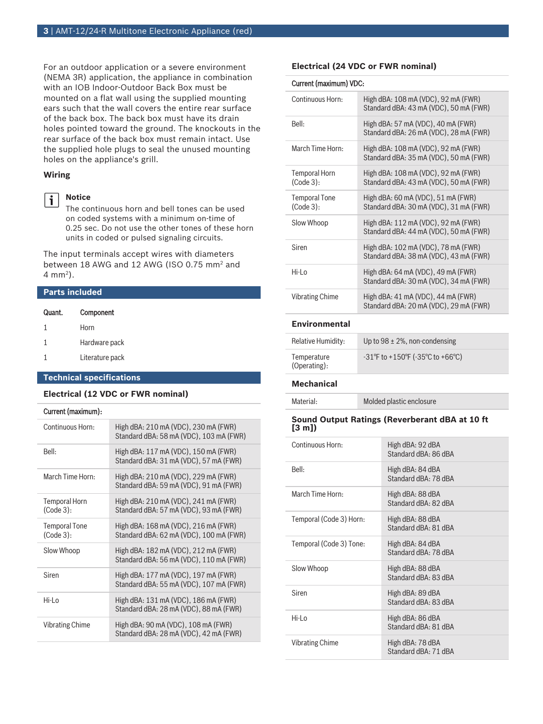For an outdoor application or a severe environment (NEMA 3R) application, the appliance in combination with an IOB Indoor‑Outdoor Back Box must be mounted on a flat wall using the supplied mounting ears such that the wall covers the entire rear surface of the back box. The back box must have its drain holes pointed toward the ground. The knockouts in the rear surface of the back box must remain intact. Use the supplied hole plugs to seal the unused mounting holes on the appliance's grill.

# **Wiring**

# $\mathbf{i}$

**Notice**

The continuous horn and bell tones can be used on coded systems with a minimum on-time of 0.25 sec. Do not use the other tones of these horn units in coded or pulsed signaling circuits.

The input terminals accept wires with diameters between 18 AWG and 12 AWG (ISO 0.75 mm<sup>2</sup> and 4 mm<sup>2</sup> ).

# **Parts included**

| Quant. | Component       |
|--------|-----------------|
| 1      | Horn            |
| 1      | Hardware pack   |
|        | Literature pack |

# **Technical specifications**

# **Electrical (12 VDC or FWR nominal)**

# Current (maximum):

| Continuous Horn:              | High dBA: 210 mA (VDC), 230 mA (FWR)<br>Standard dBA: 58 mA (VDC), 103 mA (FWR) |
|-------------------------------|---------------------------------------------------------------------------------|
| Bell:                         | High dBA: 117 mA (VDC), 150 mA (FWR)<br>Standard dBA: 31 mA (VDC), 57 mA (FWR)  |
| March Time Horn:              | High dBA: 210 mA (VDC), 229 mA (FWR)<br>Standard dBA: 59 mA (VDC), 91 mA (FWR)  |
| Temporal Horn<br>$(Code 3)$ : | High dBA: 210 mA (VDC), 241 mA (FWR)<br>Standard dBA: 57 mA (VDC), 93 mA (FWR)  |
| Temporal Tone<br>$(Code 3)$ : | High dBA: 168 mA (VDC), 216 mA (FWR)<br>Standard dBA: 62 mA (VDC), 100 mA (FWR) |
| Slow Whoop                    | High dBA: 182 mA (VDC), 212 mA (FWR)<br>Standard dBA: 56 mA (VDC), 110 mA (FWR) |
| Siren                         | High dBA: 177 mA (VDC), 197 mA (FWR)<br>Standard dBA: 55 mA (VDC), 107 mA (FWR) |
| Hi-Lo                         | High dBA: 131 mA (VDC), 186 mA (FWR)<br>Standard dBA: 28 mA (VDC), 88 mA (FWR)  |
| Vibrating Chime               | High dBA: 90 mA (VDC), 108 mA (FWR)<br>Standard dBA: 28 mA (VDC), 42 mA (FWR)   |

# **Electrical (24 VDC or FWR nominal)**

#### Current (maximum) VDC:

| Continuous Horn:                  | High dBA: 108 mA (VDC), 92 mA (FWR)<br>Standard dBA: 43 mA (VDC), 50 mA (FWR) |
|-----------------------------------|-------------------------------------------------------------------------------|
| Bell:                             | High dBA: 57 mA (VDC), 40 mA (FWR)<br>Standard dBA: 26 mA (VDC), 28 mA (FWR)  |
| March Time Horn:                  | High dBA: 108 mA (VDC), 92 mA (FWR)<br>Standard dBA: 35 mA (VDC), 50 mA (FWR) |
| Temporal Horn<br>(Code 3):        | High dBA: 108 mA (VDC), 92 mA (FWR)<br>Standard dBA: 43 mA (VDC), 50 mA (FWR) |
| <b>Temporal Tone</b><br>(Code 3): | High dBA: 60 mA (VDC), 51 mA (FWR)<br>Standard dBA: 30 mA (VDC), 31 mA (FWR)  |
| Slow Whoop                        | High dBA: 112 mA (VDC), 92 mA (FWR)<br>Standard dBA: 44 mA (VDC), 50 mA (FWR) |
| Siren                             | High dBA: 102 mA (VDC), 78 mA (FWR)<br>Standard dBA: 38 mA (VDC), 43 mA (FWR) |
| Hi-Lo                             | High dBA: 64 mA (VDC), 49 mA (FWR)<br>Standard dBA: 30 mA (VDC), 34 mA (FWR)  |
| <b>Vibrating Chime</b>            | High dBA: 41 mA (VDC), 44 mA (FWR)<br>Standard dBA: 20 mA (VDC), 29 mA (FWR)  |

# **Environmental**

| Relative Humidity:          | Up to $98 \pm 2\%$ , non-condensing                                         |
|-----------------------------|-----------------------------------------------------------------------------|
| Temperature<br>(Operating): | $-31^{\circ}$ F to +150 $^{\circ}$ F ( $-35^{\circ}$ C to +66 $^{\circ}$ C) |

# **Mechanical**

Material: Molded plastic enclosure

#### **Sound Output Ratings (Reverberant dBA at 10 ft [3 m])**

| Continuous Horn:        | High dBA: 92 dBA<br>Standard dBA: 86 dBA |
|-------------------------|------------------------------------------|
| Bell:                   | High dBA: 84 dBA<br>Standard dBA: 78 dBA |
| March Time Horn:        | High dBA: 88 dBA<br>Standard dBA: 82 dBA |
| Temporal (Code 3) Horn: | High dBA: 88 dBA<br>Standard dBA: 81 dBA |
| Temporal (Code 3) Tone: | High dBA: 84 dBA<br>Standard dBA: 78 dBA |
| Slow Whoop              | High dBA: 88 dBA<br>Standard dBA: 83 dBA |
| Siren                   | High dBA: 89 dBA<br>Standard dBA: 83 dBA |
| Hi-l $\alpha$           | High dBA: 86 dBA<br>Standard dBA: 81 dBA |
| Vibrating Chime         | High dBA: 78 dBA<br>Standard dBA: 71 dBA |